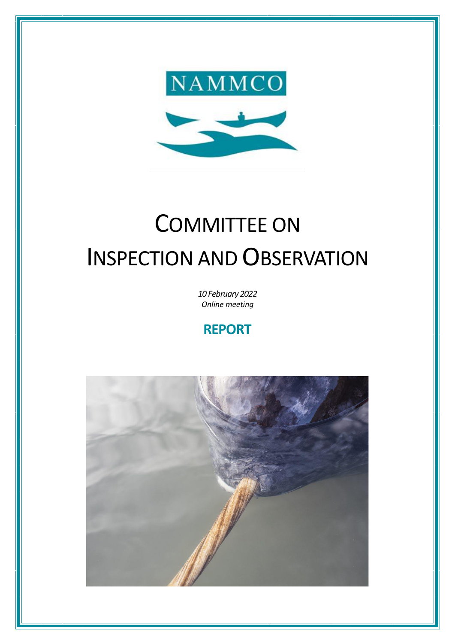

# COMMITTEE ON INSPECTION AND OBSERVATION

*10 February 2022 Online meeting*

# **REPORT**

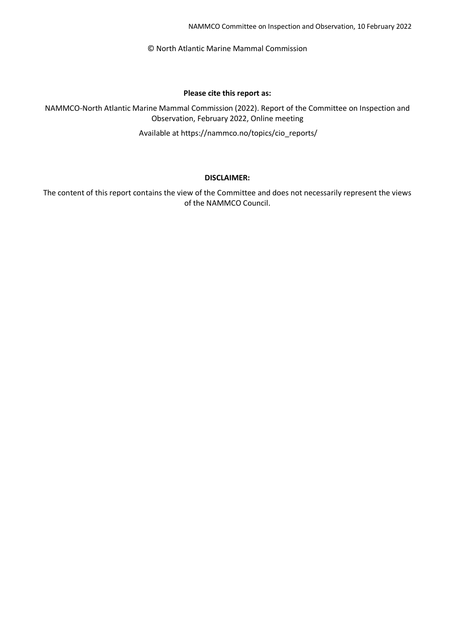NAMMCO Committee on Inspection and Observation, 10 February 2022

© North Atlantic Marine Mammal Commission

#### **Please cite this report as:**

NAMMCO-North Atlantic Marine Mammal Commission (2022). Report of the Committee on Inspection and Observation, February 2022, Online meeting

Available at https://nammco.no/topics/cio\_reports/

#### **DISCLAIMER:**

The content of this report contains the view of the Committee and does not necessarily represent the views of the NAMMCO Council.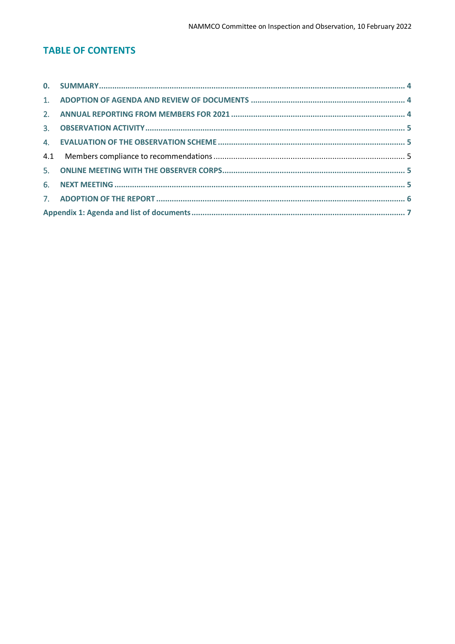# **TABLE OF CONTENTS**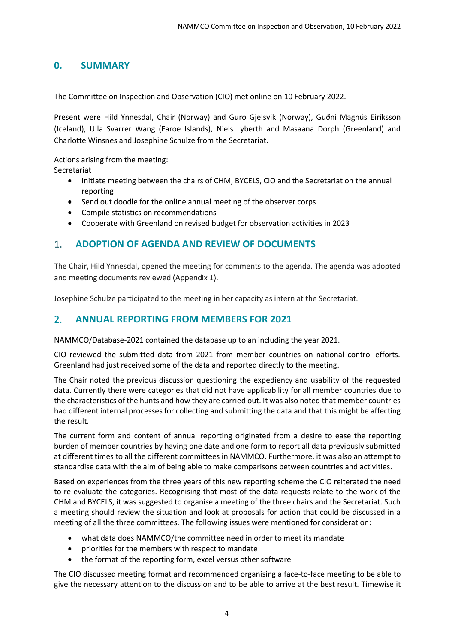## <span id="page-3-0"></span>**0. SUMMARY**

The Committee on Inspection and Observation (CIO) met online on 10 February 2022.

Present were Hild Ynnesdal, Chair (Norway) and Guro Gjelsvik (Norway), Guðni Magnús Eiríksson (Iceland), Ulla Svarrer Wang (Faroe Islands), Niels Lyberth and Masaana Dorph (Greenland) and Charlotte Winsnes and Josephine Schulze from the Secretariat.

Actions arising from the meeting:

Secretariat

- Initiate meeting between the chairs of CHM, BYCELS, CIO and the Secretariat on the annual reporting
- Send out doodle for the online annual meeting of the observer corps
- Compile statistics on recommendations
- Cooperate with Greenland on revised budget for observation activities in 2023

#### <span id="page-3-1"></span>1. **ADOPTION OF AGENDA AND REVIEW OF DOCUMENTS**

The Chair, Hild Ynnesdal, opened the meeting for comments to the agenda. The agenda was adopted and meeting documents reviewed (Appendix 1).

Josephine Schulze participated to the meeting in her capacity as intern at the Secretariat.

#### <span id="page-3-2"></span>2. **ANNUAL REPORTING FROM MEMBERS FOR 2021**

NAMMCO/Database-2021 contained the database up to an including the year 2021.

CIO reviewed the submitted data from 2021 from member countries on national control efforts. Greenland had just received some of the data and reported directly to the meeting.

The Chair noted the previous discussion questioning the expediency and usability of the requested data. Currently there were categories that did not have applicability for all member countries due to the characteristics of the hunts and how they are carried out. It was also noted that member countries had different internal processes for collecting and submitting the data and that this might be affecting the result.

The current form and content of annual reporting originated from a desire to ease the reporting burden of member countries by having one date and one form to report all data previously submitted at different times to all the different committees in NAMMCO. Furthermore, it was also an attempt to standardise data with the aim of being able to make comparisons between countries and activities.

Based on experiences from the three years of this new reporting scheme the CIO reiterated the need to re-evaluate the categories. Recognising that most of the data requests relate to the work of the CHM and BYCELS, it was suggested to organise a meeting of the three chairs and the Secretariat. Such a meeting should review the situation and look at proposals for action that could be discussed in a meeting of all the three committees. The following issues were mentioned for consideration:

- what data does NAMMCO/the committee need in order to meet its mandate
- priorities for the members with respect to mandate
- the format of the reporting form, excel versus other software

The CIO discussed meeting format and recommended organising a face-to-face meeting to be able to give the necessary attention to the discussion and to be able to arrive at the best result. Timewise it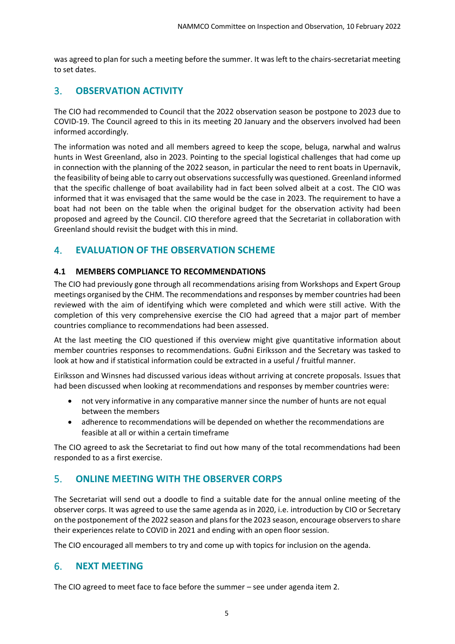was agreed to plan for such a meeting before the summer. It was left to the chairs-secretariat meeting to set dates.

## <span id="page-4-0"></span>3. **OBSERVATION ACTIVITY**

The CIO had recommended to Council that the 2022 observation season be postpone to 2023 due to COVID-19. The Council agreed to this in its meeting 20 January and the observers involved had been informed accordingly.

The information was noted and all members agreed to keep the scope, beluga, narwhal and walrus hunts in West Greenland, also in 2023. Pointing to the special logistical challenges that had come up in connection with the planning of the 2022 season, in particular the need to rent boats in Upernavik, the feasibility of being able to carry out observations successfully was questioned. Greenland informed that the specific challenge of boat availability had in fact been solved albeit at a cost. The CIO was informed that it was envisaged that the same would be the case in 2023. The requirement to have a boat had not been on the table when the original budget for the observation activity had been proposed and agreed by the Council. CIO therefore agreed that the Secretariat in collaboration with Greenland should revisit the budget with this in mind.

# <span id="page-4-1"></span>4. **EVALUATION OF THE OBSERVATION SCHEME**

#### <span id="page-4-2"></span>**4.1 MEMBERS COMPLIANCE TO RECOMMENDATIONS**

The CIO had previously gone through all recommendations arising from Workshops and Expert Group meetings organised by the CHM. The recommendations and responses by member countries had been reviewed with the aim of identifying which were completed and which were still active. With the completion of this very comprehensive exercise the CIO had agreed that a major part of member countries compliance to recommendations had been assessed.

At the last meeting the CIO questioned if this overview might give quantitative information about member countries responses to recommendations. Guðni Eiríksson and the Secretary was tasked to look at how and if statistical information could be extracted in a useful / fruitful manner.

Eiríksson and Winsnes had discussed various ideas without arriving at concrete proposals. Issues that had been discussed when looking at recommendations and responses by member countries were:

- not very informative in any comparative manner since the number of hunts are not equal between the members
- adherence to recommendations will be depended on whether the recommendations are feasible at all or within a certain timeframe

The CIO agreed to ask the Secretariat to find out how many of the total recommendations had been responded to as a first exercise.

#### <span id="page-4-3"></span>5. **ONLINE MEETING WITH THE OBSERVER CORPS**

The Secretariat will send out a doodle to find a suitable date for the annual online meeting of the observer corps. It was agreed to use the same agenda as in 2020, i.e. introduction by CIO or Secretary on the postponement of the 2022 season and plans for the 2023 season, encourage observers to share their experiences relate to COVID in 2021 and ending with an open floor session.

The CIO encouraged all members to try and come up with topics for inclusion on the agenda.

#### <span id="page-4-4"></span>6. **NEXT MEETING**

The CIO agreed to meet face to face before the summer – see under agenda item 2.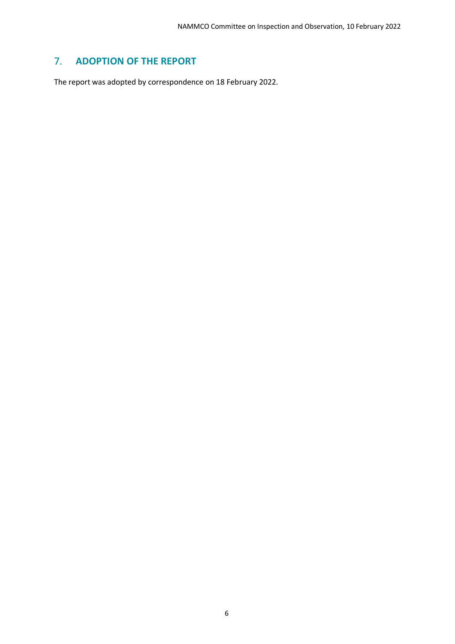# <span id="page-5-0"></span>7. **ADOPTION OF THE REPORT**

The report was adopted by correspondence on 18 February 2022.